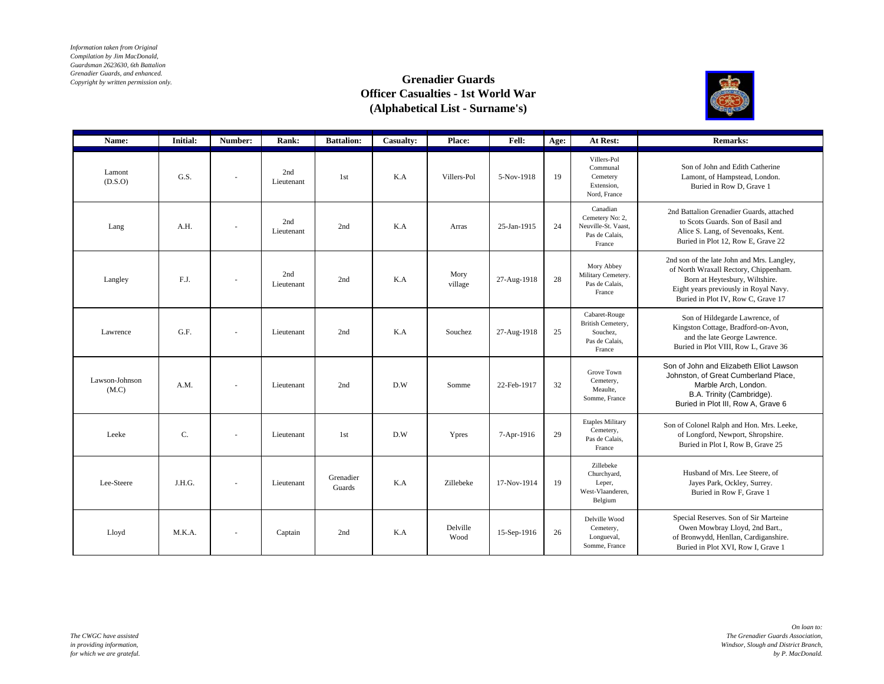*Information taken from Original Compilation by Jim MacDonald, Guardsman 2623630, 6th Battalion Grenadier Guards, and enhanced. Copyright by written permission only.*

## **Grenadier Guards Officer Casualties - 1st World War (Alphabetical List - Surname's)**



| Name:                   | <b>Initial:</b> | Number:                  | Rank:             | <b>Battalion:</b>   | Casualty: | Place:           | Fell:       | Age: | At Rest:                                                                       | <b>Remarks:</b>                                                                                                                                                                                      |
|-------------------------|-----------------|--------------------------|-------------------|---------------------|-----------|------------------|-------------|------|--------------------------------------------------------------------------------|------------------------------------------------------------------------------------------------------------------------------------------------------------------------------------------------------|
| Lamont<br>(D.S.O)       | G.S.            | $\overline{\phantom{a}}$ | 2nd<br>Lieutenant | 1st                 | K.A       | Villers-Pol      | 5-Nov-1918  | 19   | Villers-Pol<br>Communal<br>Cemetery<br>Extension,<br>Nord, France              | Son of John and Edith Catherine<br>Lamont, of Hampstead, London.<br>Buried in Row D, Grave 1                                                                                                         |
| Lang                    | A.H.            | ٠                        | 2nd<br>Lieutenant | 2nd                 | K.A       | Arras            | 25-Jan-1915 | 24   | Canadian<br>Cemetery No: 2,<br>Neuville-St. Vaast,<br>Pas de Calais.<br>France | 2nd Battalion Grenadier Guards, attached<br>to Scots Guards. Son of Basil and<br>Alice S. Lang, of Sevenoaks, Kent.<br>Buried in Plot 12, Row E, Grave 22                                            |
| Langley                 | F.J.            | $\overline{\phantom{a}}$ | 2nd<br>Lieutenant | 2nd                 | K.A       | Mory<br>village  | 27-Aug-1918 | 28   | Mory Abbey<br>Military Cemetery.<br>Pas de Calais,<br>France                   | 2nd son of the late John and Mrs. Langley,<br>of North Wraxall Rectory, Chippenham.<br>Born at Heytesbury, Wiltshire.<br>Eight years previously in Royal Navy.<br>Buried in Plot IV, Row C, Grave 17 |
| Lawrence                | G.F.            | $\overline{\phantom{m}}$ | Lieutenant        | 2nd                 | K.A       | Souchez          | 27-Aug-1918 | 25   | Cabaret-Rouge<br>British Cemetery,<br>Souchez,<br>Pas de Calais,<br>France     | Son of Hildegarde Lawrence, of<br>Kingston Cottage, Bradford-on-Avon,<br>and the late George Lawrence.<br>Buried in Plot VIII, Row L, Grave 36                                                       |
| Lawson-Johnson<br>(M.C) | A.M.            | $\sim$                   | Lieutenant        | 2nd                 | D.W       | Somme            | 22-Feb-1917 | 32   | Grove Town<br>Cemetery,<br>Meaulte,<br>Somme, France                           | Son of John and Elizabeth Elliot Lawson<br>Johnston, of Great Cumberland Place,<br>Marble Arch, London.<br>B.A. Trinity (Cambridge).<br>Buried in Plot III, Row A, Grave 6                           |
| Leeke                   | C.              | $\overline{\phantom{a}}$ | Lieutenant        | 1st                 | D.W       | Ypres            | 7-Apr-1916  | 29   | <b>Etaples Military</b><br>Cemetery,<br>Pas de Calais,<br>France               | Son of Colonel Ralph and Hon. Mrs. Leeke,<br>of Longford, Newport, Shropshire.<br>Buried in Plot I. Row B. Grave 25                                                                                  |
| Lee-Steere              | J.H.G.          | $\overline{\phantom{a}}$ | Lieutenant        | Grenadier<br>Guards | K.A       | Zillebeke        | 17-Nov-1914 | 19   | Zillebeke<br>Churchyard,<br>Leper,<br>West-Vlaanderen.<br>Belgium              | Husband of Mrs. Lee Steere, of<br>Jayes Park, Ockley, Surrey.<br>Buried in Row F. Grave 1                                                                                                            |
| Lloyd                   | M.K.A.          | $\overline{\phantom{a}}$ | Captain           | 2nd                 | K.A       | Delville<br>Wood | 15-Sep-1916 | 26   | Delville Wood<br>Cemetery,<br>Longueval,<br>Somme, France                      | Special Reserves. Son of Sir Marteine<br>Owen Mowbray Lloyd, 2nd Bart.,<br>of Bronwydd, Henllan, Cardiganshire.<br>Buried in Plot XVI, Row I, Grave 1                                                |